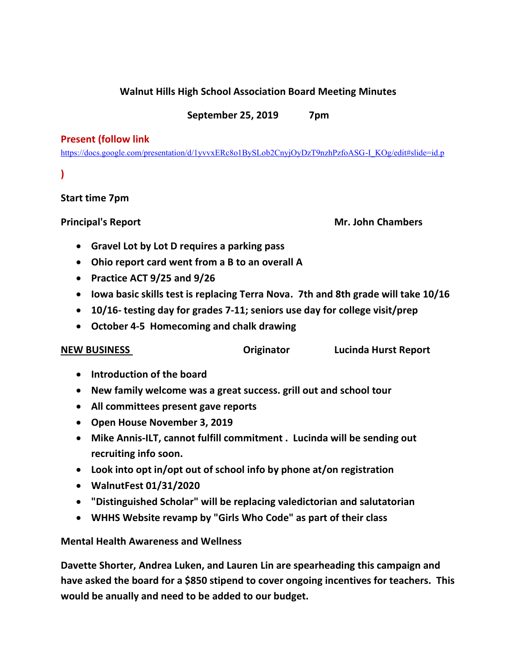## **Walnut Hills High School Association Board Meeting Minutes**

## **September 25, 2019 7pm**

### **Present (follow link**

[https://docs.google.com/presentation/d/1yvvxERc8o1BySLob2CnyjOyDzT9nzhPzfoASG-I\\_KOg/edit#slide=id.p](https://docs.google.com/presentation/d/1yvvxERc8o1BySLob2CnyjOyDzT9nzhPzfoASG-I_KOg/edit#slide=id.p)

# **)**

# **Start time 7pm**

**Principal's Report Mr. John Chambers** 

- **Gravel Lot by Lot D requires a parking pass**
- **Ohio report card went from a B to an overall A**
- **Practice ACT 9/25 and 9/26**
- **Iowa basic skills test is replacing Terra Nova. 7th and 8th grade will take 10/16**
- **10/16- testing day for grades 7-11; seniors use day for college visit/prep**
- **October 4-5 Homecoming and chalk drawing**

**NEW BUSINESS Originator Lucinda Hurst Report**

- **Introduction of the board**
- **New family welcome was a great success. grill out and school tour**
- **All committees present gave reports**
- **Open House November 3, 2019**
- **Mike Annis-ILT, cannot fulfill commitment . Lucinda will be sending out recruiting info soon.**
- **Look into opt in/opt out of school info by phone at/on registration**
- **WalnutFest 01/31/2020**
- **"Distinguished Scholar" will be replacing valedictorian and salutatorian**
- **WHHS Website revamp by "Girls Who Code" as part of their class**

# **Mental Health Awareness and Wellness**

**Davette Shorter, Andrea Luken, and Lauren Lin are spearheading this campaign and have asked the board for a \$850 stipend to cover ongoing incentives for teachers. This would be anually and need to be added to our budget.**